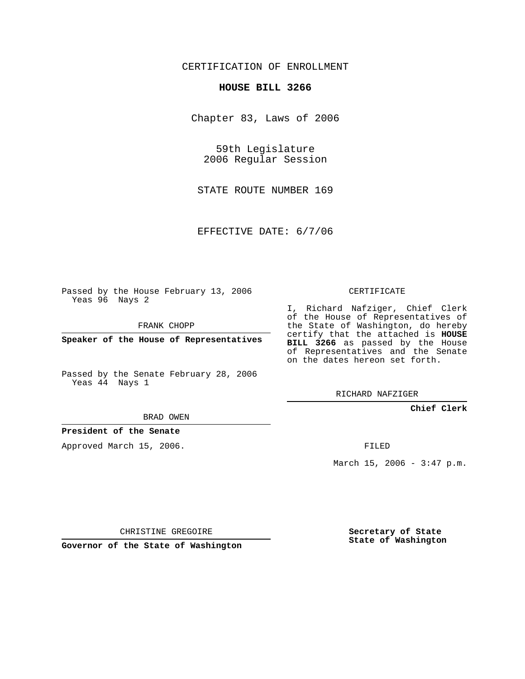## CERTIFICATION OF ENROLLMENT

#### **HOUSE BILL 3266**

Chapter 83, Laws of 2006

59th Legislature 2006 Regular Session

STATE ROUTE NUMBER 169

EFFECTIVE DATE: 6/7/06

Passed by the House February 13, 2006 Yeas 96 Nays 2

FRANK CHOPP

**Speaker of the House of Representatives**

Passed by the Senate February 28, 2006 Yeas 44 Nays 1

I, Richard Nafziger, Chief Clerk

of the House of Representatives of the State of Washington, do hereby certify that the attached is **HOUSE BILL 3266** as passed by the House of Representatives and the Senate on the dates hereon set forth.

CERTIFICATE

RICHARD NAFZIGER

**Chief Clerk**

### BRAD OWEN

### **President of the Senate**

Approved March 15, 2006.

FILED

March 15, 2006 -  $3:47$  p.m.

CHRISTINE GREGOIRE

**Governor of the State of Washington**

**Secretary of State State of Washington**